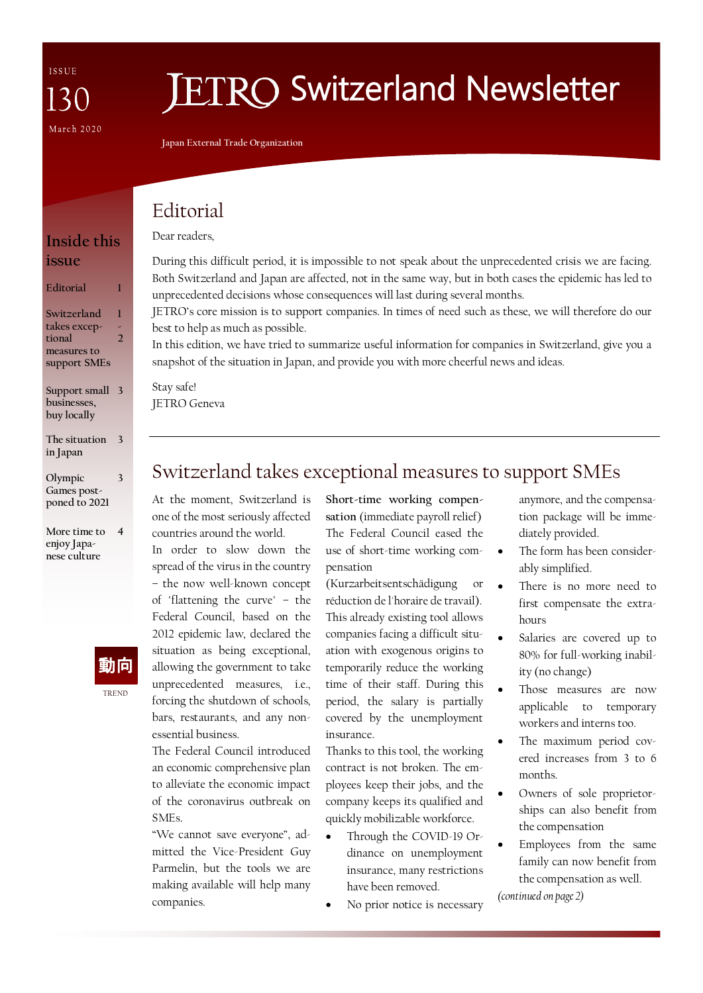**Inside this** 

**Editorial 1**

**Support small 3 businesses, buy locally**

**The situation 3 in Japan**

**Olympic Games postponed to 2021** 

**More time to enjoy Japanese culture**

**1 - 2**

**3**

**4**

**Switzerland takes exceptional measures to support SMEs**

**issue**

# **JETRO Switzerland Newsletter**

**Japan External Trade Organization**

### Editorial

Dear readers,

#### During this difficult period, it is impossible to not speak about the unprecedented crisis we are facing. Both Switzerland and Japan are affected, not in the same way, but in both cases the epidemic has led to unprecedented decisions whose consequences will last during several months.

JETRO's core mission is to support companies. In times of need such as these, we will therefore do our best to help as much as possible.

In this edition, we have tried to summarize useful information for companies in Switzerland, give you a snapshot of the situation in Japan, and provide you with more cheerful news and ideas.

Stay safe! JETRO Geneva

### Switzerland takes exceptional measures to support SMEs

At the moment, Switzerland is one of the most seriously affected countries around the world.

In order to slow down the spread of the virus in the country – the now well-known concept of "flattening the curve" – the Federal Council, based on the 2012 epidemic law, declared the situation as being exceptional, allowing the government to take unprecedented measures, i.e., forcing the shutdown of schools, bars, restaurants, and any nonessential business.

The Federal Council introduced an economic comprehensive plan to alleviate the economic impact of the coronavirus outbreak on SMEs.

"We cannot save everyone", admitted the Vice-President Guy Parmelin, but the tools we are making available will help many companies.

**Short-time working compensation** (immediate payroll relief) The Federal Council eased the use of short-time working compensation

(Kurzarbeitsentschädigung or réduction de l'horaire de travail). This already existing tool allows

companies facing a difficult situation with exogenous origins to temporarily reduce the working time of their staff. During this period, the salary is partially covered by the unemployment insurance.

Thanks to this tool, the working contract is not broken. The employees keep their jobs, and the company keeps its qualified and quickly mobilizable workforce.

- Through the COVID-19 Ordinance on unemployment insurance, many restrictions have been removed.
- No prior notice is necessary

anymore, and the compensation package will be immediately provided.

- The form has been considerably simplified.
- There is no more need to first compensate the extrahours
- Salaries are covered up to 80% for full-working inability (no change)
- Those measures are now applicable to temporary workers and interns too.
- The maximum period covered increases from 3 to 6 months.
- Owners of sole proprietorships can also benefit from the compensation
- Employees from the same family can now benefit from the compensation as well.

*(continued on page 2)*



TREND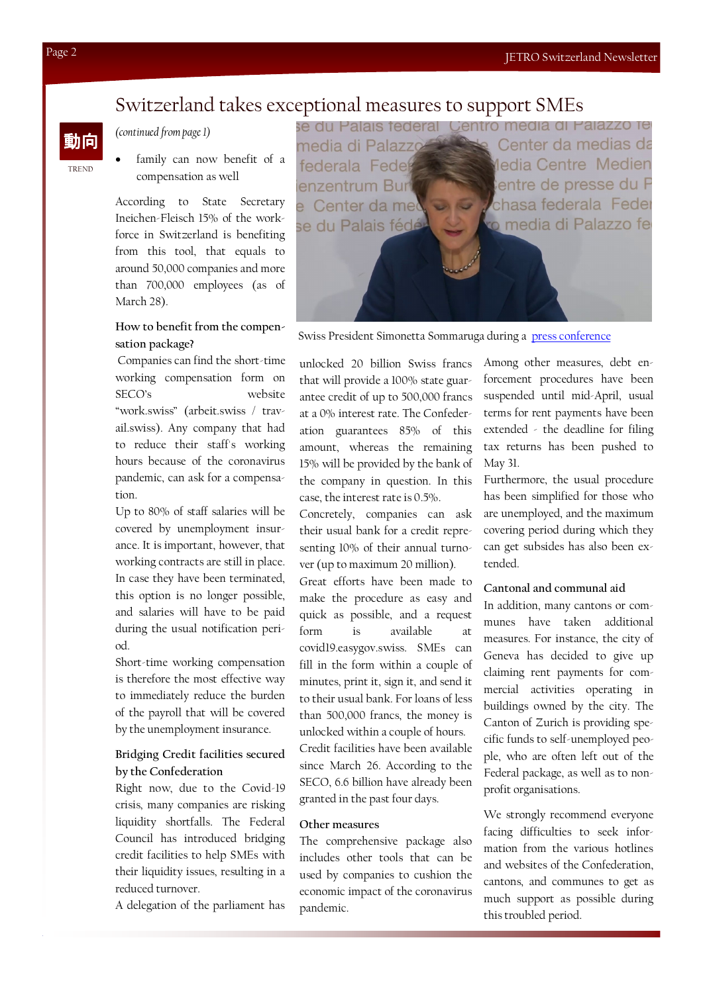### Switzerland takes exceptional measures to support SMEs

#### *(continued from page 1)*

family can now benefit of a compensation as well

According to State Secretary Ineichen-Fleisch 15% of the workforce in Switzerland is benefiting from this tool, that equals to around 50,000 companies and more than 700,000 employees (as of March 28).

#### **How to benefit from the compensation package?**

Companies can find the short-time working compensation form on SECO's website "work.swiss" (arbeit.swiss / travail.swiss). Any company that had to reduce their staff's working hours because of the coronavirus pandemic, can ask for a compensation.

Up to 80% of staff salaries will be covered by unemployment insurance. It is important, however, that working contracts are still in place. In case they have been terminated, this option is no longer possible, and salaries will have to be paid during the usual notification period.

Short-time working compensation is therefore the most effective way to immediately reduce the burden of the payroll that will be covered by the unemployment insurance.

#### **Bridging Credit facilities secured by the Confederation**

Right now, due to the Covid-19 crisis, many companies are risking liquidity shortfalls. The Federal Council has introduced bridging credit facilities to help SMEs with their liquidity issues, resulting in a reduced turnover.

A delegation of the parliament has

se du Palais federal Centro media di Palazzo fe Center da medias da media di Palazz federala Feder dedia Centre Medien entre de presse du F enzentrum Bur e Center da me chasa federala Feder o media di Palazzo fe se du Palais fédé

Swiss President Simonetta Sommaruga during a [press conference](https://www.youtube.com/watch?v=LFI7vQU-YnY)

unlocked 20 billion Swiss francs that will provide a 100% state guarantee credit of up to 500,000 francs at a 0% interest rate. The Confederation guarantees 85% of this amount, whereas the remaining 15% will be provided by the bank of the company in question. In this case, the interest rate is 0.5%.

Concretely, companies can ask their usual bank for a credit representing 10% of their annual turnover (up to maximum 20 million). Great efforts have been made to make the procedure as easy and quick as possible, and a request form is available covid19.easygov.swiss. SMEs can fill in the form within a couple of minutes, print it, sign it, and send it to their usual bank. For loans of less than 500,000 francs, the money is unlocked within a couple of hours. Credit facilities have been available since March 26. According to the SECO, 6.6 billion have already been granted in the past four days.

#### **Other measures**

The comprehensive package also includes other tools that can be used by companies to cushion the economic impact of the coronavirus pandemic.

Among other measures, debt enforcement procedures have been suspended until mid-April, usual terms for rent payments have been extended - the deadline for filing tax returns has been pushed to May 31.

Furthermore, the usual procedure has been simplified for those who are unemployed, and the maximum covering period during which they can get subsides has also been extended.

#### **Cantonal and communal aid**

In addition, many cantons or communes have taken additional measures. For instance, the city of Geneva has decided to give up claiming rent payments for commercial activities operating in buildings owned by the city. The Canton of Zurich is providing specific funds to self-unemployed people, who are often left out of the Federal package, as well as to nonprofit organisations.

We strongly recommend everyone facing difficulties to seek information from the various hotlines and websites of the Confederation, cantons, and communes to get as much support as possible during this troubled period.

TREND

動向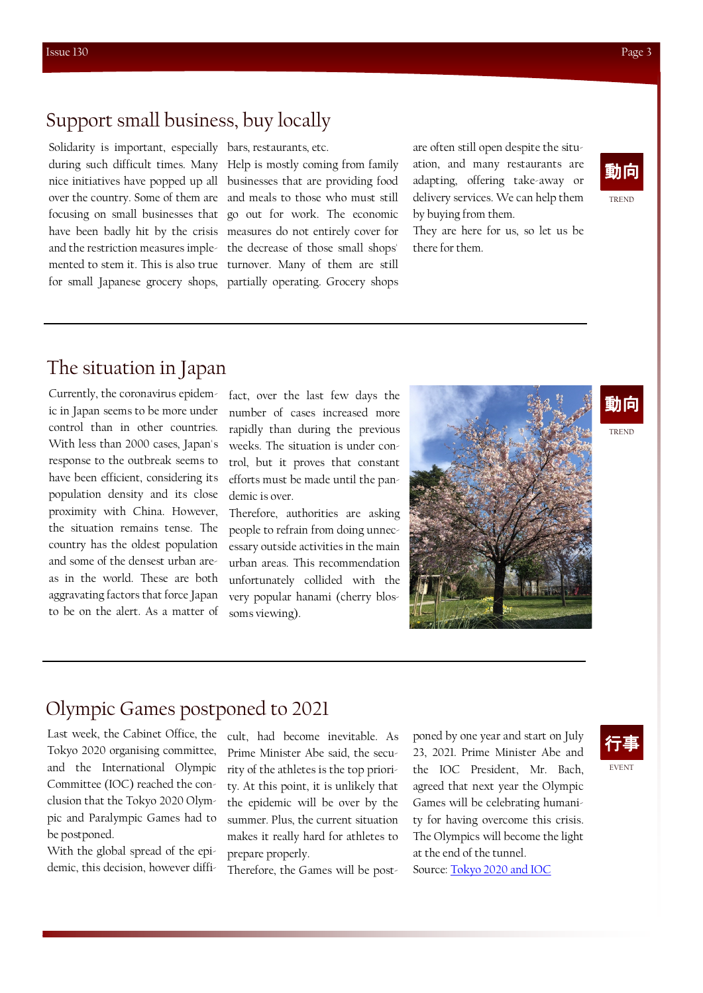### Support small business, buy locally

Solidarity is important, especially bars, restaurants, etc.

during such difficult times. Many Help is mostly coming from family nice initiatives have popped up all businesses that are providing food over the country. Some of them are and meals to those who must still focusing on small businesses that go out for work. The economic have been badly hit by the crisis measures do not entirely cover for and the restriction measures imple-the decrease of those small shops' mented to stem it. This is also true turnover. Many of them are still for small Japanese grocery shops, partially operating. Grocery shops are often still open despite the situation, and many restaurants are adapting, offering take-away or delivery services. We can help them by buying from them.

They are here for us, so let us be there for them.



### The situation in Japan

Currently, the coronavirus epidemic in Japan seems to be more under control than in other countries. With less than 2000 cases, Japan's response to the outbreak seems to have been efficient, considering its population density and its close proximity with China. However, the situation remains tense. The country has the oldest population and some of the densest urban areas in the world. These are both aggravating factors that force Japan to be on the alert. As a matter of

fact, over the last few days the number of cases increased more rapidly than during the previous weeks. The situation is under control, but it proves that constant efforts must be made until the pandemic is over.

Therefore, authorities are asking people to refrain from doing unnecessary outside activities in the main urban areas. This recommendation unfortunately collided with the very popular hanami (cherry blossoms viewing).



## 動向

TREND

EVENT 行事

### Olympic Games postponed to 2021

Last week, the Cabinet Office, the Tokyo 2020 organising committee, and the International Olympic Committee (IOC) reached the conclusion that the Tokyo 2020 Olympic and Paralympic Games had to be postponed.

With the global spread of the epidemic, this decision, however difficult, had become inevitable. As Prime Minister Abe said, the security of the athletes is the top priority. At this point, it is unlikely that the epidemic will be over by the summer. Plus, the current situation makes it really hard for athletes to prepare properly.

Therefore, the Games will be post-

poned by one year and start on July 23, 2021. Prime Minister Abe and the IOC President, Mr. Bach, agreed that next year the Olympic Games will be celebrating humanity for having overcome this crisis. The Olympics will become the light at the end of the tunnel. Source: [Tokyo 2020 and IOC](https://tokyo2020.org/en/news/ioc-president-the-olympic-flame-can-become-the-light-at-the-end-of-this-dark-tun)